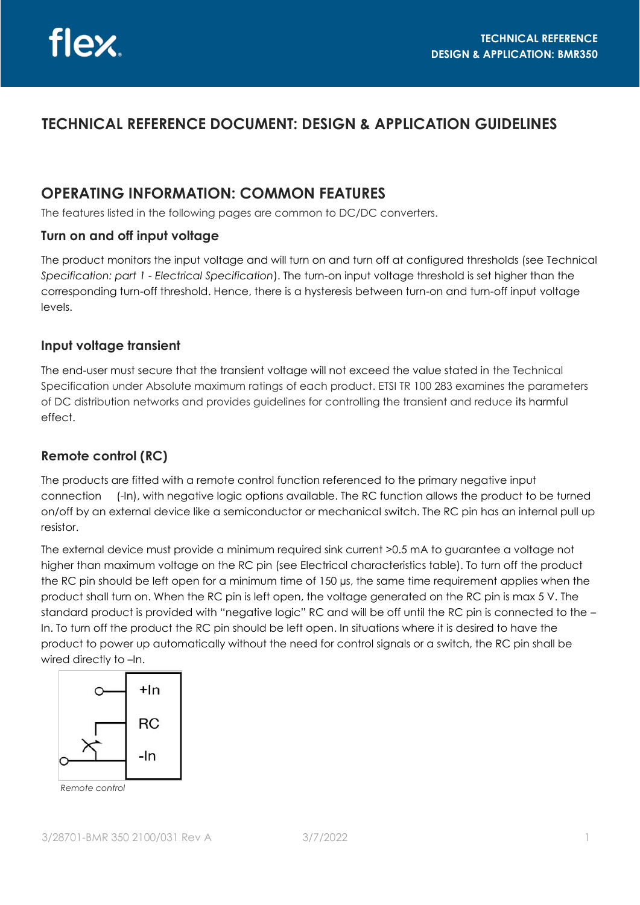# **TECHNICAL REFERENCE DOCUMENT: DESIGN & APPLICATION GUIDELINES**

# **OPERATING INFORMATION: COMMON FEATURES**

The features listed in the following pages are common to DC/DC converters.

### **Turn on and off input voltage**

The product monitors the input voltage and will turn on and turn off at configured thresholds (see Technical *Specification: part 1 - Electrical Specification*). The turn-on input voltage threshold is set higher than the corresponding turn-off threshold. Hence, there is a hysteresis between turn-on and turn-off input voltage levels.

### **Input voltage transient**

The end-user must secure that the transient voltage will not exceed the value stated in the Technical Specification under Absolute maximum ratings of each product. ETSI TR 100 283 examines the parameters of DC distribution networks and provides guidelines for controlling the transient and reduce its harmful effect.

### **Remote control (RC)**

The products are fitted with a remote control function referenced to the primary negative input connection (-In), with negative logic options available. The RC function allows the product to be turned on/off by an external device like a semiconductor or mechanical switch. The RC pin has an internal pull up resistor.

The external device must provide a minimum required sink current >0.5 mA to guarantee a voltage not higher than maximum voltage on the RC pin (see Electrical characteristics table). To turn off the product the RC pin should be left open for a minimum time of 150 µs, the same time requirement applies when the product shall turn on. When the RC pin is left open, the voltage generated on the RC pin is max 5 V. The standard product is provided with "negative logic" RC and will be off until the RC pin is connected to the – In. To turn off the product the RC pin should be left open. In situations where it is desired to have the product to power up automatically without the need for control signals or a switch, the RC pin shall be wired directly to –In.



*Remote control*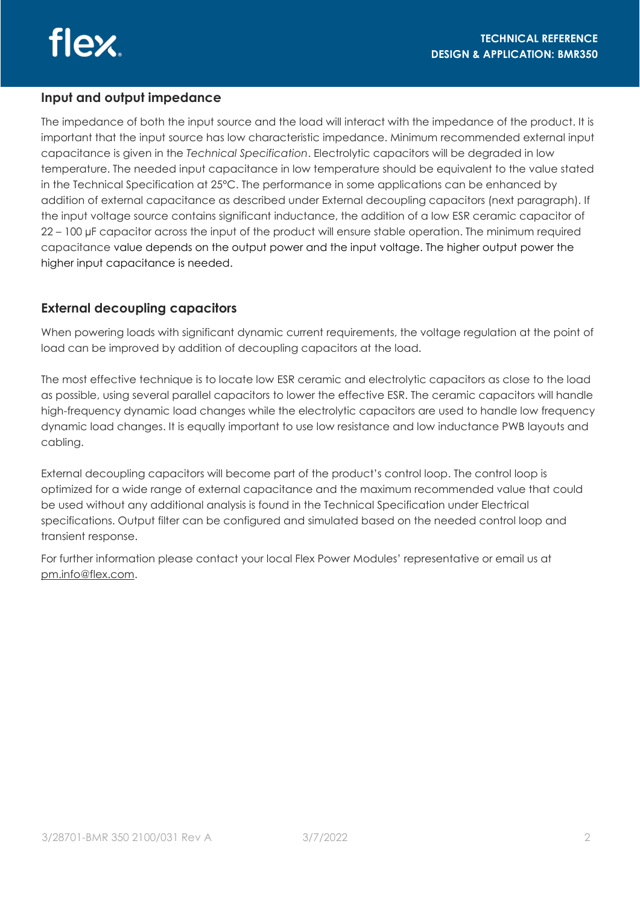### **Input and output impedance**

The impedance of both the input source and the load will interact with the impedance of the product. It is important that the input source has low characteristic impedance. Minimum recommended external input capacitance is given in the *Technical Specification*. Electrolytic capacitors will be degraded in low temperature. The needed input capacitance in low temperature should be equivalent to the value stated in the Technical Specification at 25°C. The performance in some applications can be enhanced by addition of external capacitance as described under External decoupling capacitors (next paragraph). If the input voltage source contains significant inductance, the addition of a low ESR ceramic capacitor of 22 – 100 µF capacitor across the input of the product will ensure stable operation. The minimum required capacitance value depends on the output power and the input voltage. The higher output power the higher input capacitance is needed.

### **External decoupling capacitors**

When powering loads with significant dynamic current requirements, the voltage regulation at the point of load can be improved by addition of decoupling capacitors at the load.

The most effective technique is to locate low ESR ceramic and electrolytic capacitors as close to the load as possible, using several parallel capacitors to lower the effective ESR. The ceramic capacitors will handle high-frequency dynamic load changes while the electrolytic capacitors are used to handle low frequency dynamic load changes. It is equally important to use low resistance and low inductance PWB layouts and cabling.

External decoupling capacitors will become part of the product's control loop. The control loop is optimized for a wide range of external capacitance and the maximum recommended value that could be used without any additional analysis is found in the Technical Specification under Electrical specifications. Output filter can be configured and simulated based on the needed control loop and transient response.

For further information please contact your local Flex Power Modules' representative or email us at [pm.info@flex.com.](mailto:pm.info@flex.com)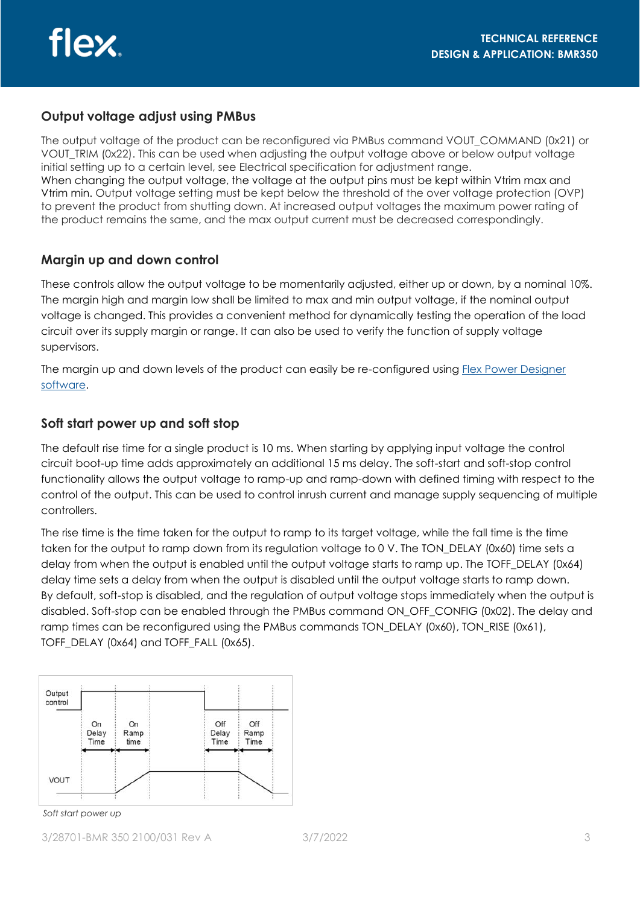### **Output voltage adjust using PMBus**

The output voltage of the product can be reconfigured via PMBus command VOUT\_COMMAND (0x21) or VOUT TRIM (0x22). This can be used when adjusting the output voltage above or below output voltage initial setting up to a certain level, see Electrical specification for adjustment range. When changing the output voltage, the voltage at the output pins must be kept within Vtrim max and Vtrim min. Output voltage setting must be kept below the threshold of the over voltage protection (OVP) to prevent the product from shutting down. At increased output voltages the maximum power rating of the product remains the same, and the max output current must be decreased correspondingly.

### **Margin up and down control**

These controls allow the output voltage to be momentarily adjusted, either up or down, by a nominal 10%. The margin high and margin low shall be limited to max and min output voltage, if the nominal output voltage is changed. This provides a convenient method for dynamically testing the operation of the load circuit over its supply margin or range. It can also be used to verify the function of supply voltage supervisors.

The margin up and down levels of the product can easily be re-configured using Flex Power Designer [software.](http://www.flexpowerdesigner.com)

### **Soft start power up and soft stop**

The default rise time for a single product is 10 ms. When starting by applying input voltage the control circuit boot-up time adds approximately an additional 15 ms delay. The soft-start and soft-stop control functionality allows the output voltage to ramp-up and ramp-down with defined timing with respect to the control of the output. This can be used to control inrush current and manage supply sequencing of multiple controllers.

The rise time is the time taken for the output to ramp to its target voltage, while the fall time is the time taken for the output to ramp down from its regulation voltage to 0 V. The TON DELAY (0x60) time sets a delay from when the output is enabled until the output voltage starts to ramp up. The TOFF\_DELAY (0x64) delay time sets a delay from when the output is disabled until the output voltage starts to ramp down. By default, soft-stop is disabled, and the regulation of output voltage stops immediately when the output is disabled. Soft-stop can be enabled through the PMBus command ON\_OFF\_CONFIG (0x02). The delay and ramp times can be reconfigured using the PMBus commands TON\_DELAY (0x60), TON\_RISE (0x61), TOFF\_DELAY (0x64) and TOFF\_FALL (0x65).



*Soft start power up*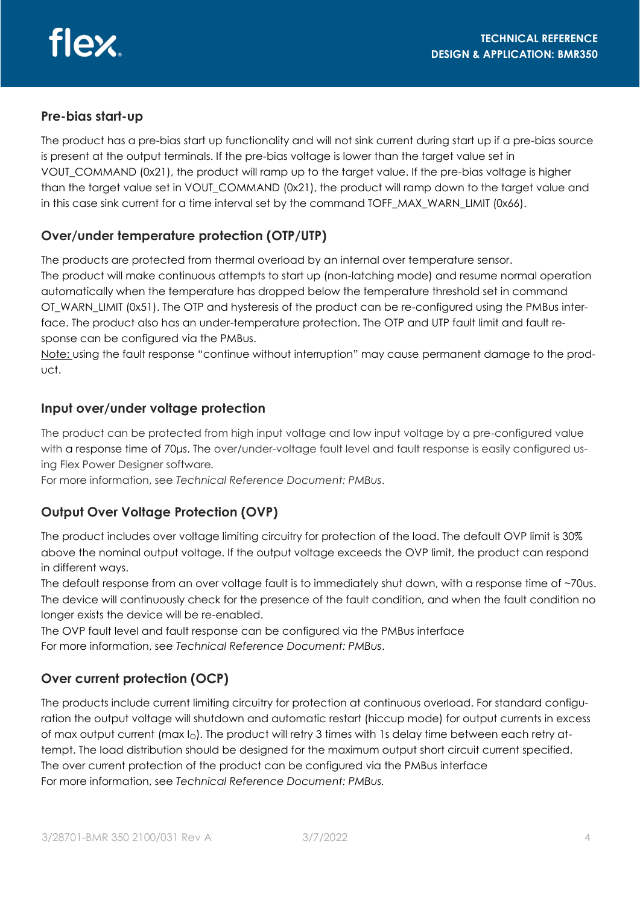### **Pre-bias start-up**

The product has a pre-bias start up functionality and will not sink current during start up if a pre-bias source is present at the output terminals. If the pre-bias voltage is lower than the target value set in VOUT COMMAND (0x21), the product will ramp up to the target value. If the pre-bias voltage is higher than the target value set in VOUT\_COMMAND (0x21), the product will ramp down to the target value and in this case sink current for a time interval set by the command TOFF\_MAX\_WARN\_LIMIT (0x66).

# **Over/under temperature protection (OTP/UTP)**

The products are protected from thermal overload by an internal over temperature sensor. The product will make continuous attempts to start up (non-latching mode) and resume normal operation automatically when the temperature has dropped below the temperature threshold set in command OT WARN LIMIT (0x51). The OTP and hysteresis of the product can be re-configured using the PMBus interface. The product also has an under-temperature protection. The OTP and UTP fault limit and fault response can be configured via the PMBus.

Note: using the fault response "continue without interruption" may cause permanent damage to the product.

### **Input over/under voltage protection**

The product can be protected from high input voltage and low input voltage by a pre-configured value with a response time of 70 µs. The over/under-voltage fault level and fault response is easily configured using Flex Power Designer software*.*

For more information, see *Technical Reference Document: PMBus*.

### **Output Over Voltage Protection (OVP)**

The product includes over voltage limiting circuitry for protection of the load. The default OVP limit is 30% above the nominal output voltage. If the output voltage exceeds the OVP limit, the product can respond in different ways.

The default response from an over voltage fault is to immediately shut down, with a response time of ~70us. The device will continuously check for the presence of the fault condition, and when the fault condition no longer exists the device will be re-enabled.

The OVP fault level and fault response can be configured via the PMBus interface For more information, see *Technical Reference Document: PMBus*.

# **Over current protection (OCP)**

The products include current limiting circuitry for protection at continuous overload. For standard configuration the output voltage will shutdown and automatic restart (hiccup mode) for output currents in excess of max output current (max I<sub>O</sub>). The product will retry 3 times with 1s delay time between each retry attempt. The load distribution should be designed for the maximum output short circuit current specified. The over current protection of the product can be configured via the PMBus interface For more information, see *Technical Reference Document: PMBus.*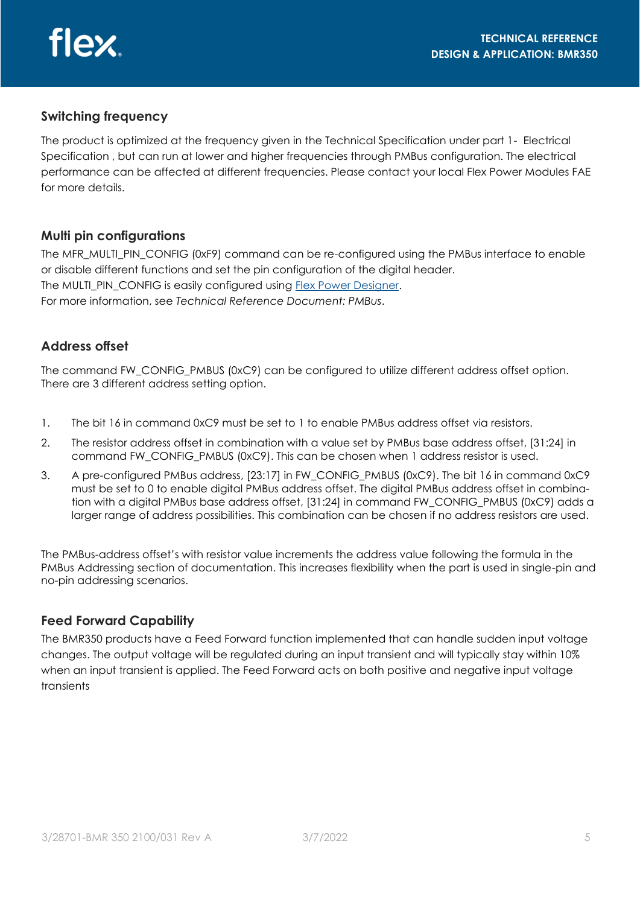

### **Switching frequency**

The product is optimized at the frequency given in the Technical Specification under part 1- Electrical Specification , but can run at lower and higher frequencies through PMBus configuration. The electrical performance can be affected at different frequencies. Please contact your local Flex Power Modules FAE for more details.

### **Multi pin configurations**

The MFR\_MULTI\_PIN\_CONFIG (0xF9) command can be re-configured using the PMBus interface to enable or disable different functions and set the pin configuration of the digital header. The MULTI\_PIN\_CONFIG is easily configured using Flex Power Designer. For more information, see *Technical Reference Document: PMBus*.

### **Address offset**

The command FW\_CONFIG\_PMBUS (0xC9) can be configured to utilize different address offset option. There are 3 different address setting option.

- 1. The bit 16 in command 0xC9 must be set to 1 to enable PMBus address offset via resistors.
- 2. The resistor address offset in combination with a value set by PMBus base address offset, [31:24] in command FW\_CONFIG\_PMBUS (0xC9). This can be chosen when 1 address resistor is used.
- 3. A pre-configured PMBus address, [23:17] in FW\_CONFIG\_PMBUS (0xC9). The bit 16 in command 0xC9 must be set to 0 to enable digital PMBus address offset. The digital PMBus address offset in combination with a digital PMBus base address offset, [31:24] in command FW\_CONFIG\_PMBUS (0xC9) adds a larger range of address possibilities. This combination can be chosen if no address resistors are used.

The PMBus-address offset's with resistor value increments the address value following the formula in the PMBus Addressing section of documentation. This increases flexibility when the part is used in single-pin and no-pin addressing scenarios.

### **Feed Forward Capability**

The BMR350 products have a Feed Forward function implemented that can handle sudden input voltage changes. The output voltage will be regulated during an input transient and will typically stay within 10% when an input transient is applied. The Feed Forward acts on both positive and negative input voltage transients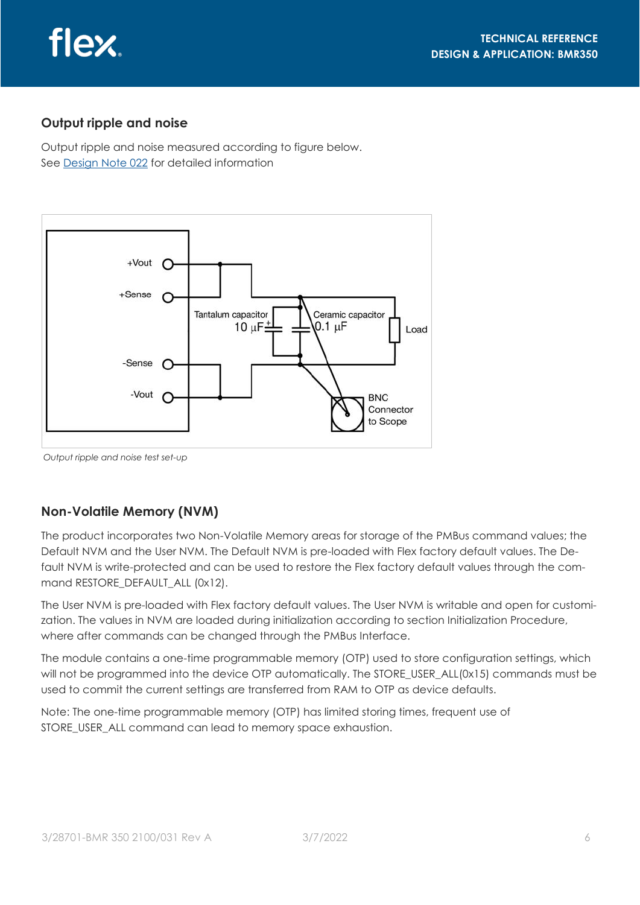

### **Output ripple and noise**

Output ripple and noise measured according to figure below. See [Design Note 022](https://flexpowermodules.com/documents/fpm-designnote022-output-ripple-noise-measurement) for detailed information



*Output ripple and noise test set-up*

### **Non-Volatile Memory (NVM)**

The product incorporates two Non-Volatile Memory areas for storage of the PMBus command values; the Default NVM and the User NVM. The Default NVM is pre-loaded with Flex factory default values. The Default NVM is write-protected and can be used to restore the Flex factory default values through the command RESTORE\_DEFAULT\_ALL (0x12).

The User NVM is pre-loaded with Flex factory default values. The User NVM is writable and open for customization. The values in NVM are loaded during initialization according to section Initialization Procedure, where after commands can be changed through the PMBus Interface.

The module contains a one-time programmable memory (OTP) used to store configuration settings, which will not be programmed into the device OTP automatically. The STORE\_USER\_ALL(0x15) commands must be used to commit the current settings are transferred from RAM to OTP as device defaults.

Note: The one-time programmable memory (OTP) has limited storing times, frequent use of STORE\_USER\_ALL command can lead to memory space exhaustion.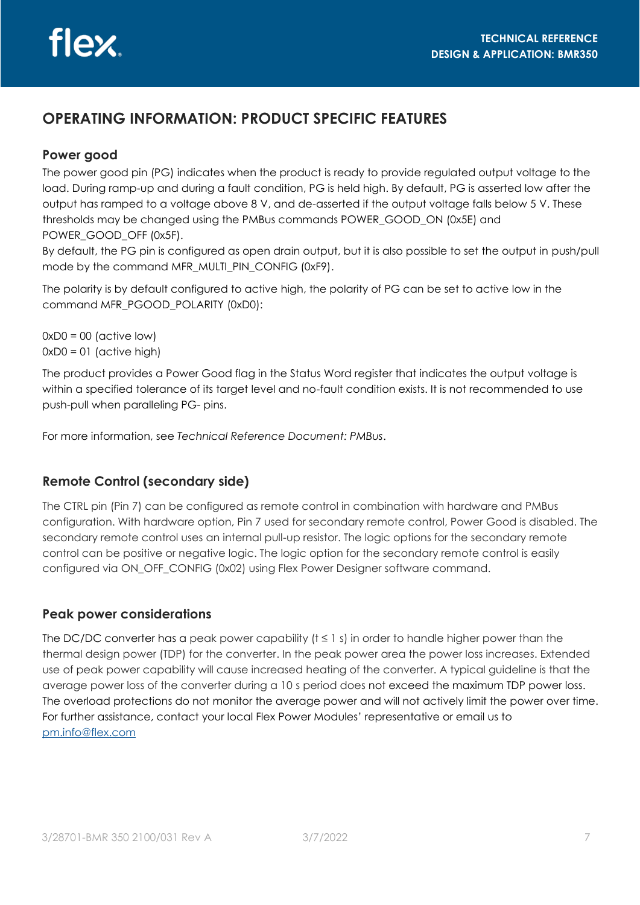# **OPERATING INFORMATION: PRODUCT SPECIFIC FEATURES**

### **Power good**

The power good pin (PG) indicates when the product is ready to provide regulated output voltage to the load. During ramp-up and during a fault condition, PG is held high. By default, PG is asserted low after the output has ramped to a voltage above 8 V, and de-asserted if the output voltage falls below 5 V. These thresholds may be changed using the PMBus commands POWER\_GOOD\_ON (0x5E) and POWER GOOD OFF (0x5F).

By default, the PG pin is configured as open drain output, but it is also possible to set the output in push/pull mode by the command MFR\_MULTI\_PIN\_CONFIG (0xF9).

The polarity is by default configured to active high, the polarity of PG can be set to active low in the command MFR\_PGOOD\_POLARITY (0xD0):

 $0xD0 = 00$  (active low)  $0xD0 = 01$  (active high)

The product provides a Power Good flag in the Status Word register that indicates the output voltage is within a specified tolerance of its target level and no-fault condition exists. It is not recommended to use push-pull when paralleling PG- pins.

For more information, see *Technical Reference Document: PMBus*.

# **Remote Control (secondary side)**

The CTRL pin (Pin 7) can be configured as remote control in combination with hardware and PMBus configuration. With hardware option, Pin 7 used for secondary remote control, Power Good is disabled. The secondary remote control uses an internal pull-up resistor. The logic options for the secondary remote control can be positive or negative logic. The logic option for the secondary remote control is easily configured via ON\_OFF\_CONFIG (0x02) using Flex Power Designer software command.

#### **Peak power considerations**

The DC/DC converter has a peak power capability ( $t \le 1$  s) in order to handle higher power than the thermal design power (TDP) for the converter. In the peak power area the power loss increases. Extended use of peak power capability will cause increased heating of the converter. A typical guideline is that the average power loss of the converter during a 10 s period does not exceed the maximum TDP power loss. The overload protections do not monitor the average power and will not actively limit the power over time. For further assistance, contact your local Flex Power Modules' representative or email us to [pm.info@flex.com](mailto:pm.info@flex.com)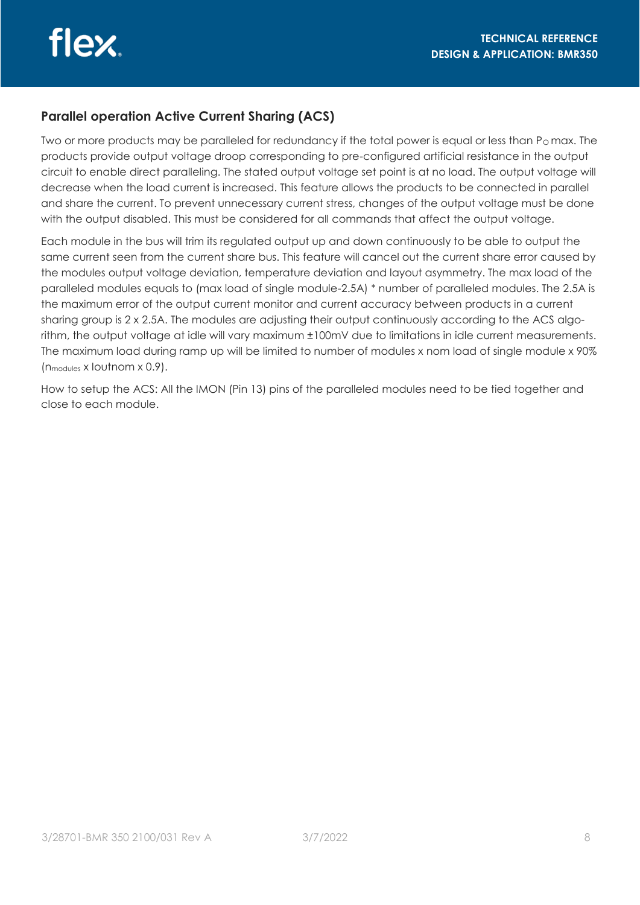### **Parallel operation Active Current Sharing (ACS)**

Two or more products may be paralleled for redundancy if the total power is equal or less than P $_0$  max. The products provide output voltage droop corresponding to pre-configured artificial resistance in the output circuit to enable direct paralleling. The stated output voltage set point is at no load. The output voltage will decrease when the load current is increased. This feature allows the products to be connected in parallel and share the current. To prevent unnecessary current stress, changes of the output voltage must be done with the output disabled. This must be considered for all commands that affect the output voltage.

Each module in the bus will trim its regulated output up and down continuously to be able to output the same current seen from the current share bus. This feature will cancel out the current share error caused by the modules output voltage deviation, temperature deviation and layout asymmetry. The max load of the paralleled modules equals to (max load of single module-2.5A) \* number of paralleled modules. The 2.5A is the maximum error of the output current monitor and current accuracy between products in a current sharing group is 2 x 2.5A. The modules are adjusting their output continuously according to the ACS algorithm, the output voltage at idle will vary maximum ±100mV due to limitations in idle current measurements. The maximum load during ramp up will be limited to number of modules x nom load of single module x 90% (nmodules x Ioutnom x 0.9).

How to setup the ACS: All the IMON (Pin 13) pins of the paralleled modules need to be tied together and close to each module.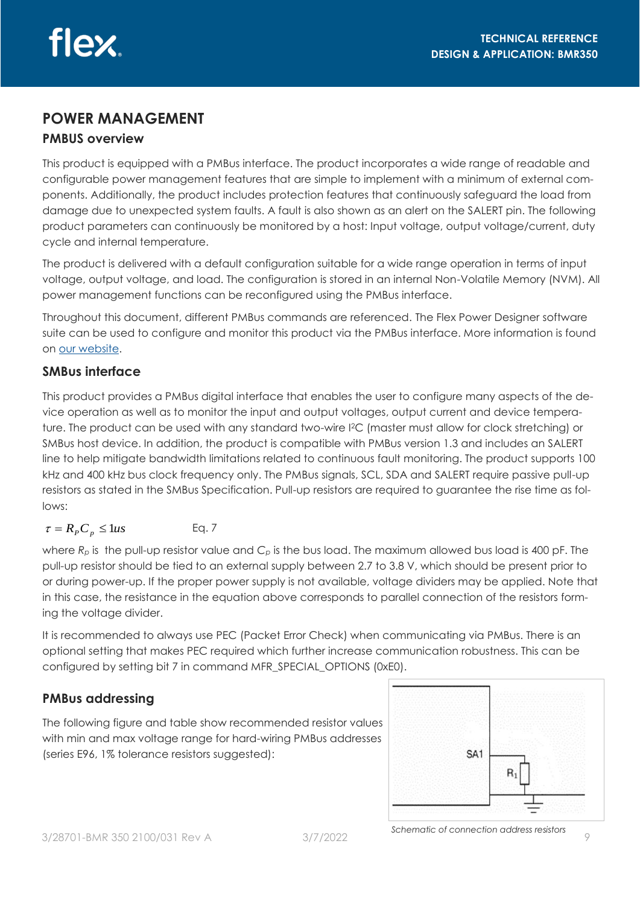# **POWER MANAGEMENT PMBUS overview**

This product is equipped with a PMBus interface. The product incorporates a wide range of readable and configurable power management features that are simple to implement with a minimum of external components. Additionally, the product includes protection features that continuously safeguard the load from damage due to unexpected system faults. A fault is also shown as an alert on the SALERT pin. The following product parameters can continuously be monitored by a host: Input voltage, output voltage/current, duty cycle and internal temperature.

The product is delivered with a default configuration suitable for a wide range operation in terms of input voltage, output voltage, and load. The configuration is stored in an internal Non-Volatile Memory (NVM). All power management functions can be reconfigured using the PMBus interface.

Throughout this document, different PMBus commands are referenced. The Flex Power Designer software suite can be used to configure and monitor this product via the PMBus interface. More information is found on [our website.](http://www.flexpowerdesigner.com)

# **SMBus interface**

This product provides a PMBus digital interface that enables the user to configure many aspects of the device operation as well as to monitor the input and output voltages, output current and device temperature. The product can be used with any standard two-wire I2C (master must allow for clock stretching) or SMBus host device. In addition, the product is compatible with PMBus version 1.3 and includes an SALERT line to help mitigate bandwidth limitations related to continuous fault monitoring. The product supports 100 kHz and 400 kHz bus clock frequency only. The PMBus signals, SCL, SDA and SALERT require passive pull-up resistors as stated in the SMBus Specification. Pull-up resistors are required to guarantee the rise time as follows:

$$
\tau = R_p C_p \le 1us \qquad \text{Eq. 7}
$$

where  $R_p$  is the pull-up resistor value and  $C_p$  is the bus load. The maximum allowed bus load is 400 pF. The pull-up resistor should be tied to an external supply between 2.7 to 3.8 V, which should be present prior to or during power-up. If the proper power supply is not available, voltage dividers may be applied. Note that in this case, the resistance in the equation above corresponds to parallel connection of the resistors forming the voltage divider.

It is recommended to always use PEC (Packet Error Check) when communicating via PMBus. There is an optional setting that makes PEC required which further increase communication robustness. This can be configured by setting bit 7 in command MFR\_SPECIAL\_OPTIONS (0xE0).

# **PMBus addressing**

The following figure and table show recommended resistor values with min and max voltage range for hard-wiring PMBus addresses (series E96, 1% tolerance resistors suggested):

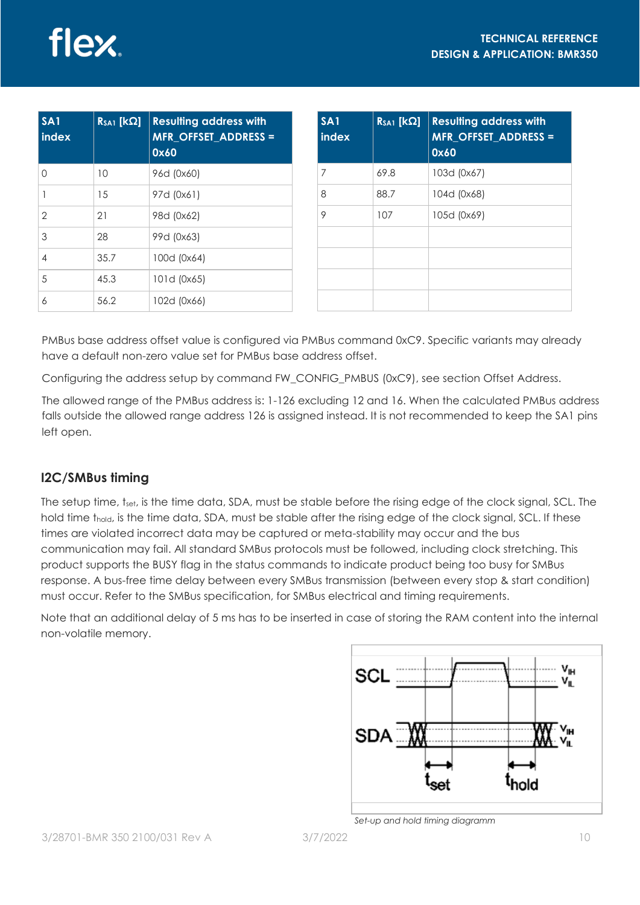| S A1<br>index  | $R_{SA1}$ [ $k\Omega$ ] | <b>Resulting address with</b><br><b>MFR OFFSET ADDRESS =</b><br>0x60 |
|----------------|-------------------------|----------------------------------------------------------------------|
| 0              | 10                      | 96d (0x60)                                                           |
| 1              | 15                      | 97d (0x61)                                                           |
| $\overline{2}$ | 21                      | 98d (0x62)                                                           |
| 3              | 28                      | 99d (0x63)                                                           |
| $\overline{4}$ | 35.7                    | 100d (0x64)                                                          |
| 5              | 45.3                    | 101d (0x65)                                                          |
| 6              | 56.2                    | 102d (0x66)                                                          |

| SA <sub>1</sub><br>index | $R_{SA1}$ [ $k\Omega$ ] | <b>Resulting address with</b><br><b>MFR_OFFSET_ADDRESS =</b><br>0x60 |
|--------------------------|-------------------------|----------------------------------------------------------------------|
| 7                        | 69.8                    | 103d (0x67)                                                          |
| 8                        | 88.7                    | 104d (0x68)                                                          |
| 9                        | 107                     | 105d (0x69)                                                          |
|                          |                         |                                                                      |
|                          |                         |                                                                      |
|                          |                         |                                                                      |
|                          |                         |                                                                      |

PMBus base address offset value is configured via PMBus command 0xC9. Specific variants may already have a default non-zero value set for PMBus base address offset.

Configuring the address setup by command FW\_CONFIG\_PMBUS (0xC9), see section Offset Address.

The allowed range of the PMBus address is: 1-126 excluding 12 and 16. When the calculated PMBus address falls outside the allowed range address 126 is assigned instead. It is not recommended to keep the SA1 pins left open.

# **I2C/SMBus timing**

The setup time, t<sub>set</sub>, is the time data, SDA, must be stable before the rising edge of the clock signal, SCL. The hold time t<sub>hold</sub>, is the time data, SDA, must be stable after the rising edge of the clock signal, SCL. If these times are violated incorrect data may be captured or meta-stability may occur and the bus communication may fail. All standard SMBus protocols must be followed, including clock stretching. This product supports the BUSY flag in the status commands to indicate product being too busy for SMBus response. A bus-free time delay between every SMBus transmission (between every stop & start condition) must occur. Refer to the SMBus specification, for SMBus electrical and timing requirements.

Note that an additional delay of 5 ms has to be inserted in case of storing the RAM content into the internal non-volatile memory.



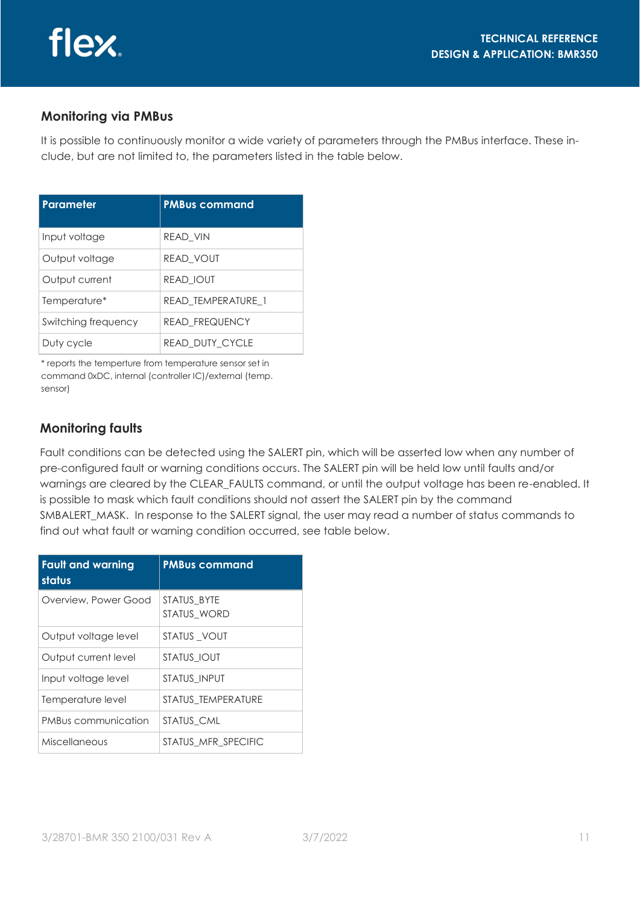### **Monitoring via PMBus**

It is possible to continuously monitor a wide variety of parameters through the PMBus interface. These include, but are not limited to, the parameters listed in the table below.

| <b>Parameter</b>    | <b>PMBus command</b>  |
|---------------------|-----------------------|
| Input voltage       | READ VIN              |
| Output voltage      | <b>READ VOUT</b>      |
| Output current      | <b>READ IOUT</b>      |
| Temperature*        | READ TEMPERATURE 1    |
| Switching frequency | <b>READ FREQUENCY</b> |
| Duty cycle          | READ DUTY CYCLE       |

\* reports the temperture from temperature sensor set in command 0xDC, internal (controller IC)/external (temp. sensor)

### **Monitoring faults**

Fault conditions can be detected using the SALERT pin, which will be asserted low when any number of pre-configured fault or warning conditions occurs. The SALERT pin will be held low until faults and/or warnings are cleared by the CLEAR\_FAULTS command, or until the output voltage has been re-enabled. It is possible to mask which fault conditions should not assert the SALERT pin by the command SMBALERT\_MASK. In response to the SALERT signal, the user may read a number of status commands to find out what fault or warning condition occurred, see table below.

| <b>Fault and warning</b><br>status | <b>PMBus command</b>       |
|------------------------------------|----------------------------|
| Overview, Power Good               | STATUS BYTE<br>STATUS WORD |
| Output voltage level               | STATUS VOUT                |
| Output current level               | STATUS IOUT                |
| Input voltage level                | <b>STATUS INPUT</b>        |
| Temperature level                  | STATUS TEMPERATURE         |
| PMBus communication                | STATUS CML                 |
| Miscellaneous                      | STATUS MFR SPECIFIC        |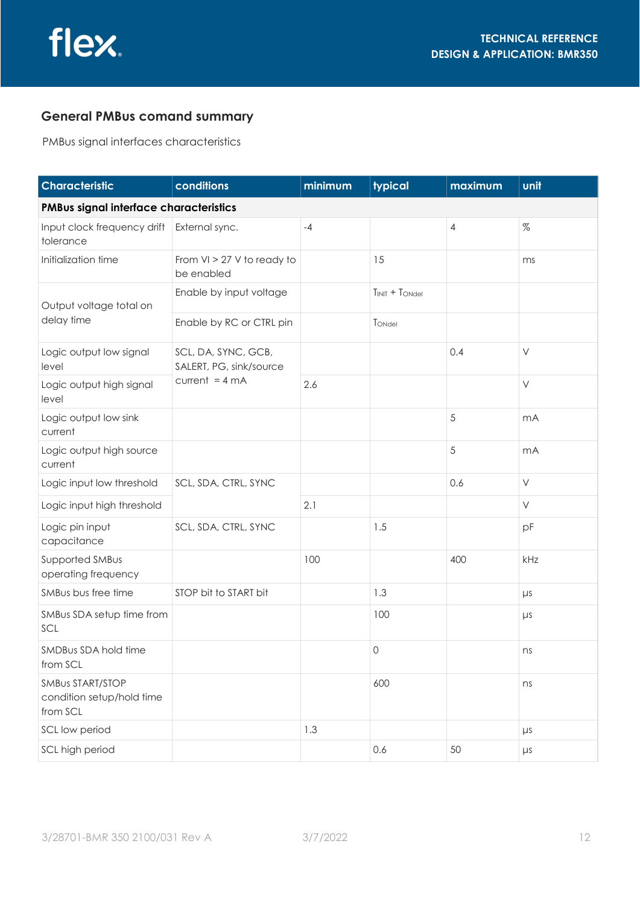### **General PMBus comand summary**

PMBus signal interfaces characteristics

| <b>Characteristic</b>                                     | conditions                                     | minimum | typical          | maximum        | unit    |
|-----------------------------------------------------------|------------------------------------------------|---------|------------------|----------------|---------|
| PMBus signal interface characteristics                    |                                                |         |                  |                |         |
| Input clock frequency drift<br>tolerance                  | External sync.                                 | $-4$    |                  | $\overline{4}$ | %       |
| Initialization time                                       | From VI > 27 V to ready to<br>be enabled       |         | 15               |                | ms      |
| Output voltage total on                                   | Enable by input voltage                        |         | $TINIT + TONdel$ |                |         |
| delay time                                                | Enable by RC or CTRL pin                       |         | TONdel           |                |         |
| Logic output low signal<br>level                          | SCL, DA, SYNC, GCB,<br>SALERT, PG, sink/source |         |                  | 0.4            | $\vee$  |
| Logic output high signal<br>level                         | $current = 4 mA$                               | 2.6     |                  |                | $\vee$  |
| Logic output low sink<br>current                          |                                                |         |                  | 5              | mA      |
| Logic output high source<br>current                       |                                                |         |                  | 5              | mA      |
| Logic input low threshold                                 | SCL, SDA, CTRL, SYNC                           |         |                  | 0.6            | $\vee$  |
| Logic input high threshold                                |                                                | 2.1     |                  |                | V       |
| Logic pin input<br>capacitance                            | SCL, SDA, CTRL, SYNC                           |         | 1.5              |                | pF      |
| Supported SMBus<br>operating frequency                    |                                                | 100     |                  | 400            | kHz     |
| SMBus bus free time                                       | STOP bit to START bit                          |         | 1.3              |                | $\mu s$ |
| SMBus SDA setup time from<br>SCL                          |                                                |         | 100              |                | $\mu s$ |
| SMDBus SDA hold time<br>from SCL                          |                                                |         | 0                |                | ns      |
| SMBUS START/STOP<br>condition setup/hold time<br>from SCL |                                                |         | 600              |                | ns      |
| SCL low period                                            |                                                | 1.3     |                  |                | $\mu s$ |
| SCL high period                                           |                                                |         | 0.6              | 50             | $\mu s$ |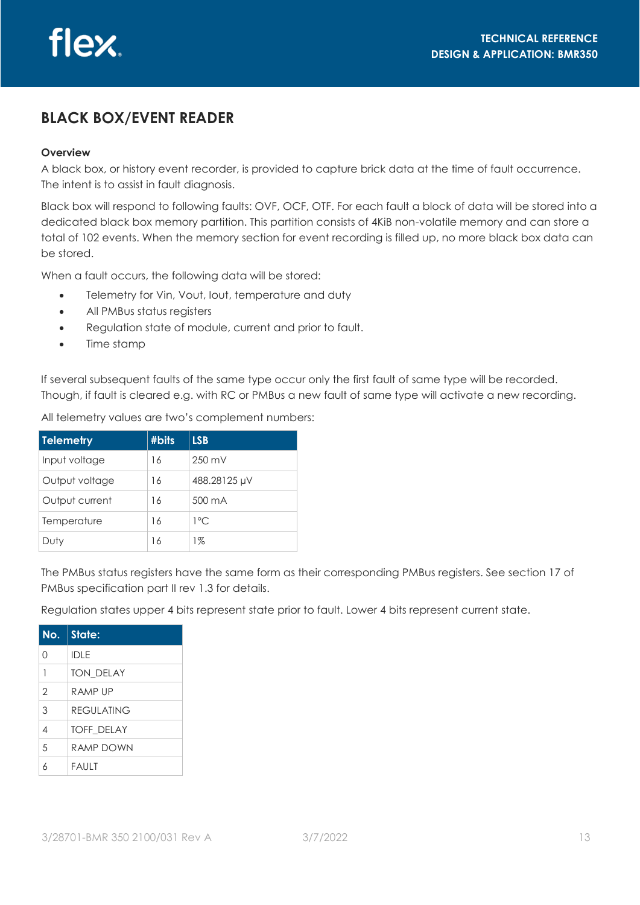# **BLACK BOX/EVENT READER**

#### **Overview**

A black box, or history event recorder, is provided to capture brick data at the time of fault occurrence. The intent is to assist in fault diagnosis.

Black box will respond to following faults: OVF, OCF, OTF. For each fault a block of data will be stored into a dedicated black box memory partition. This partition consists of 4KiB non-volatile memory and can store a total of 102 events. When the memory section for event recording is filled up, no more black box data can be stored.

When a fault occurs, the following data will be stored:

- Telemetry for Vin, Vout, Iout, temperature and duty
- All PMBus status registers
- Regulation state of module, current and prior to fault.
- Time stamp

If several subsequent faults of the same type occur only the first fault of same type will be recorded. Though, if fault is cleared e.g. with RC or PMBus a new fault of same type will activate a new recording.

All telemetry values are two's complement numbers:

| <b>Telemetry</b> | #bits | <b>LSB</b>       |
|------------------|-------|------------------|
| Input voltage    | 16    | $250 \text{ mV}$ |
| Output voltage   | 16    | 488.28125 µV     |
| Output current   | 16    | 500 mA           |
| Temperature      | 16    | $1^{\circ}$ C    |
| Duty             | 16    | 1%               |

The PMBus status registers have the same form as their corresponding PMBus registers. See section 17 of PMBus specification part II rev 1.3 for details.

Regulation states upper 4 bits represent state prior to fault. Lower 4 bits represent current state.

| No.            | <b>State:</b>     |
|----------------|-------------------|
| Ω              | <b>IDLE</b>       |
| $\mathbf{1}$   | <b>TON DELAY</b>  |
| $\overline{2}$ | RAMP UP           |
| 3              | RFGUI ATING       |
| $\overline{4}$ | <b>TOFF DELAY</b> |
| 5              | RAMP DOWN         |
| Á              | <b>FAULT</b>      |